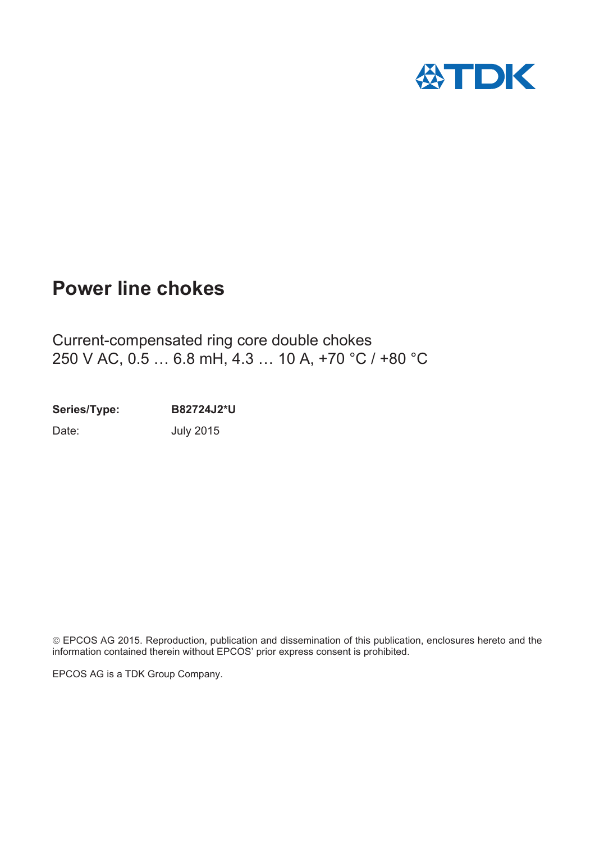

# **Power line chokes**

Current-compensated ring core double chokes 250 V AC, 0.5 … 6.8 mH, 4.3 … 10 A, +70 °C / +80 °C

**Series/Type: B82724J2\*U**

Date: **July 2015** 

¤EPCOS AG 2015. Reproduction, publication and dissemination of this publication, enclosures hereto and the information contained therein without EPCOS' prior express consent is prohibited.

EPCOS AG is a TDK Group Company.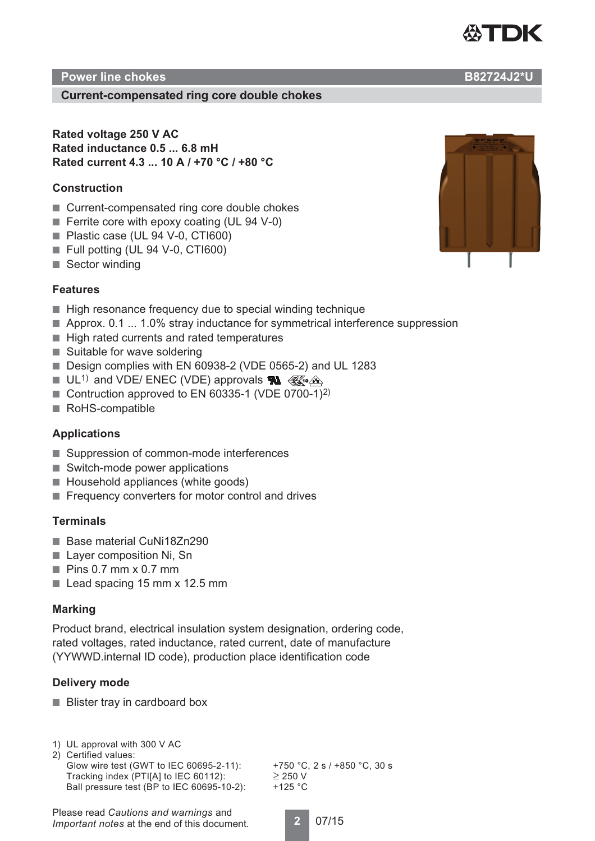

# **Power line chokes B82724J2\*U**

## **Current-compensated ring core double chokes**

**Rated voltage 250 V AC Rated inductance 0.5 ... 6.8 mH Rated current 4.3 ... 10 A / +70 °C / +80 °C**

#### **Construction**

- Current-compensated ring core double chokes
- Ferrite core with epoxy coating (UL 94 V-0)
- Plastic case (UL 94 V-0, CTI600)
- Full potting (UL 94 V-0, CTI600)
- Sector winding

#### **Features**

- High resonance frequency due to special winding technique
- Approx. 0.1 ... 1.0% stray inductance for symmetrical interference suppression
- High rated currents and rated temperatures
- Suitable for wave soldering
- Design complies with EN 60938-2 (VDE 0565-2) and UL 1283
- $\blacksquare$  UL<sup>1)</sup> and VDE/ ENEC (VDE) approvals  $\blacksquare \triangle$
- Contruction approved to EN 60335-1 (VDE 0700-1)<sup>2)</sup>
- RoHS-compatible

## **Applications**

- Suppression of common-mode interferences
- Switch-mode power applications
- Household appliances (white goods)
- Frequency converters for motor control and drives

#### **Terminals**

- Base material CuNi18Zn290
- Layer composition Ni, Sn
- $\blacksquare$  Pins 0.7 mm x 0.7 mm
- Lead spacing 15 mm x 12.5 mm

#### **Marking**

Product brand, electrical insulation system designation, ordering code, rated voltages, rated inductance, rated current, date of manufacture (YYWWD.internal ID code), production place identification code

## **Delivery mode**

- Blister tray in cardboard box
- 1) UL approval with 300 V AC 2) Certified values: Glow wire test (GWT to IEC 60695-2-11): +750 °C, 2 s / +850 °C, 30 s Tracking index (PTI[A] to IEC 60112):  $\geq$  250 V

Ball pressure test (BP to IEC 60695-10-2):  $+125$  °C

**2** 07/15



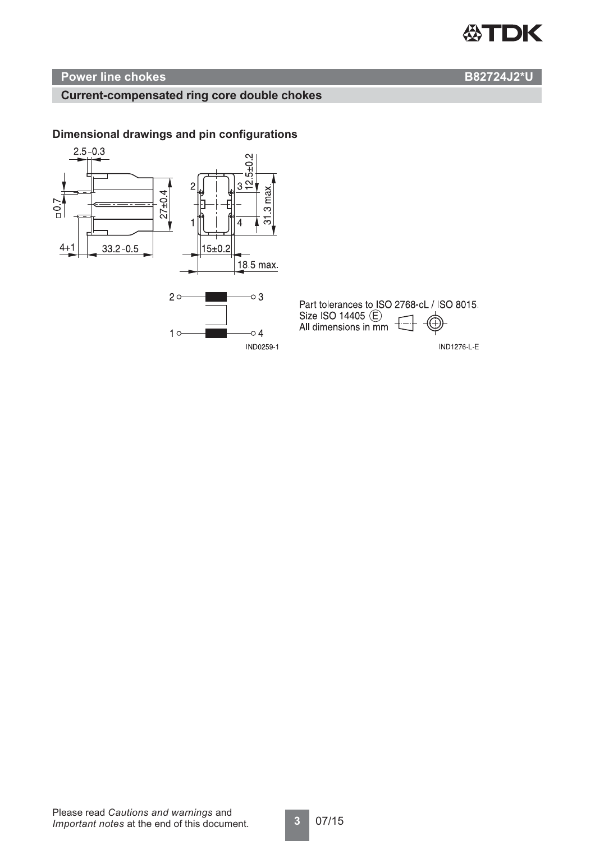

# **Power line chokes B82724J2\*U**

# **Current-compensated ring core double chokes**

# **Dimensional drawings and pin configurations**

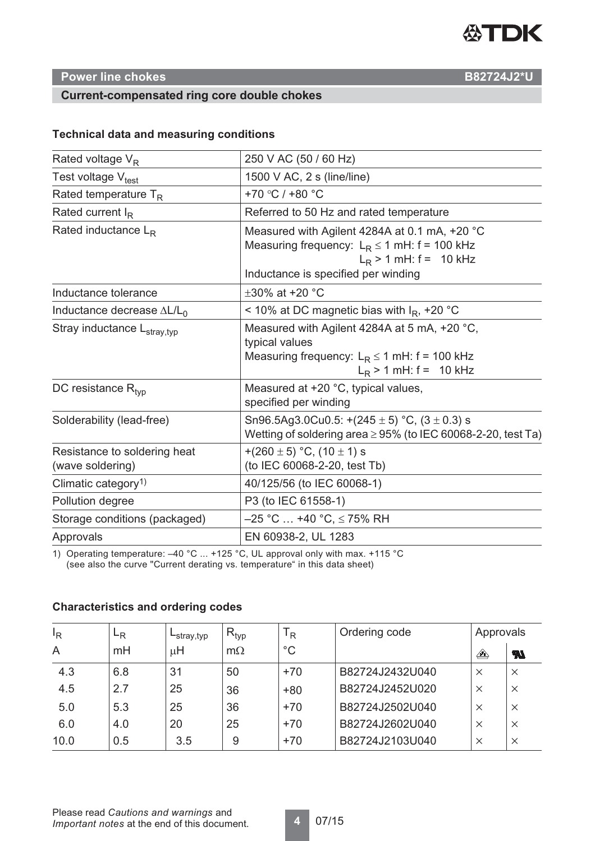

# **Power line chokes B82724J2\*U**

# **Current-compensated ring core double chokes**

## **Technical data and measuring conditions**

| Rated voltage $V_R$                              | 250 V AC (50 / 60 Hz)                                                                                                                                                |  |  |  |
|--------------------------------------------------|----------------------------------------------------------------------------------------------------------------------------------------------------------------------|--|--|--|
| Test voltage V <sub>test</sub>                   | 1500 V AC, 2 s (line/line)                                                                                                                                           |  |  |  |
| Rated temperature $T_R$                          | +70 °C / +80 °C                                                                                                                                                      |  |  |  |
| Rated current $I_R$                              | Referred to 50 Hz and rated temperature                                                                                                                              |  |  |  |
| Rated inductance $L_R$                           | Measured with Agilent 4284A at 0.1 mA, +20 °C<br>Measuring frequency: $L_R \le 1$ mH: f = 100 kHz<br>$L_R$ > 1 mH: f = 10 kHz<br>Inductance is specified per winding |  |  |  |
| Inductance tolerance                             | $\pm 30\%$ at +20 °C                                                                                                                                                 |  |  |  |
| Inductance decrease $\Delta L/L_0$               | < 10% at DC magnetic bias with $I_R$ , +20 °C                                                                                                                        |  |  |  |
| Stray inductance L <sub>stray,typ</sub>          | Measured with Agilent 4284A at 5 mA, +20 °C,<br>typical values<br>Measuring frequency: $L_R \le 1$ mH: f = 100 kHz<br>$L_R$ > 1 mH: f = 10 kHz                       |  |  |  |
| DC resistance $R_{\text{tvp}}$                   | Measured at +20 °C, typical values,<br>specified per winding                                                                                                         |  |  |  |
| Solderability (lead-free)                        | Sn96.5Ag3.0Cu0.5: $+(245 \pm 5)$ °C, $(3 \pm 0.3)$ s<br>Wetting of soldering area $\geq$ 95% (to IEC 60068-2-20, test Ta)                                            |  |  |  |
| Resistance to soldering heat<br>(wave soldering) | +(260 $\pm$ 5) °C, (10 $\pm$ 1) s<br>(to IEC 60068-2-20, test Tb)                                                                                                    |  |  |  |
| Climatic category <sup>1)</sup>                  | 40/125/56 (to IEC 60068-1)                                                                                                                                           |  |  |  |
| Pollution degree                                 | P3 (to IEC 61558-1)                                                                                                                                                  |  |  |  |
| Storage conditions (packaged)                    | $-25$ °C  +40 °C, $\leq$ 75% RH                                                                                                                                      |  |  |  |
| Approvals                                        | EN 60938-2, UL 1283                                                                                                                                                  |  |  |  |
|                                                  |                                                                                                                                                                      |  |  |  |

1) Operating temperature: –40 °C ... +125 °C, UL approval only with max. +115 °C (see also the curve "Current derating vs. temperature" in this data sheet)

| $I_R$ | ⊢R  | $-$ stray, typ | $R_{typ}$ | <sup>I</sup> R | Ordering code   | Approvals                    |                  |
|-------|-----|----------------|-----------|----------------|-----------------|------------------------------|------------------|
| A     | mH  | μH             | $m\Omega$ | $^{\circ}C$    |                 | $\overleftrightarrow{\cdot}$ | $\boldsymbol{z}$ |
| 4.3   | 6.8 | 31             | 50        | $+70$          | B82724J2432U040 | $\times$                     | $\times$         |
| 4.5   | 2.7 | 25             | 36        | $+80$          | B82724J2452U020 | $\times$                     | $\times$         |
| 5.0   | 5.3 | 25             | 36        | $+70$          | B82724J2502U040 | $\times$                     | $\times$         |
| 6.0   | 4.0 | 20             | 25        | $+70$          | B82724J2602U040 | $\times$                     | $\times$         |
| 10.0  | 0.5 | 3.5            | 9         | $+70$          | B82724J2103U040 | $\times$                     | $\times$         |

## **Characteristics and ordering codes**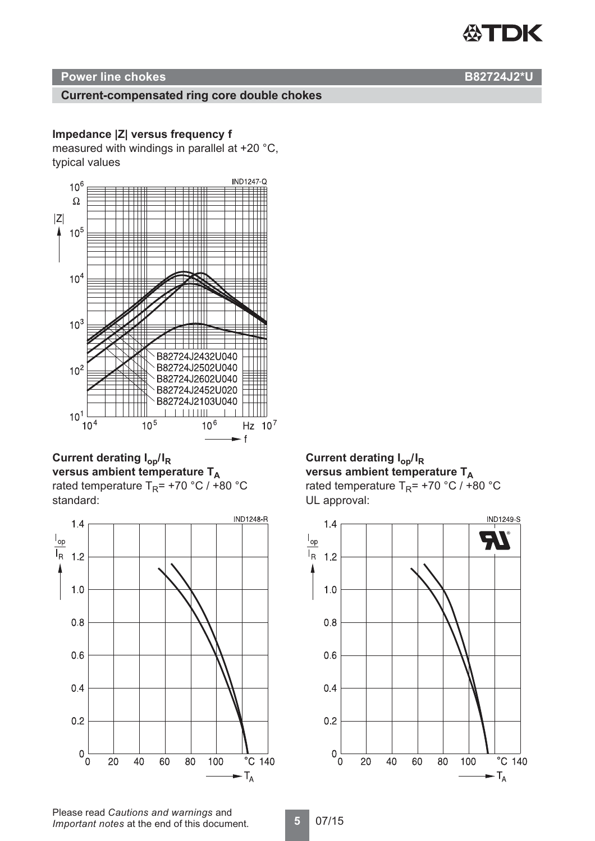# **公TDK**

# **Power line chokes B82724J2\*U**

# **Current-compensated ring core double chokes**

# **Impedance |Z| versus frequency f**

measured with windings in parallel at +20 °C, typical values



**Current derating Iop/IR** versus ambient temperature T<sub>A</sub> rated temperature  $T_R$ = +70 °C / +80 °C standard:



# **Current derating Iop/IR** versus ambient temperature T<sub>A</sub>

rated temperature  $T_R$ = +70 °C / +80 °C UL approval:

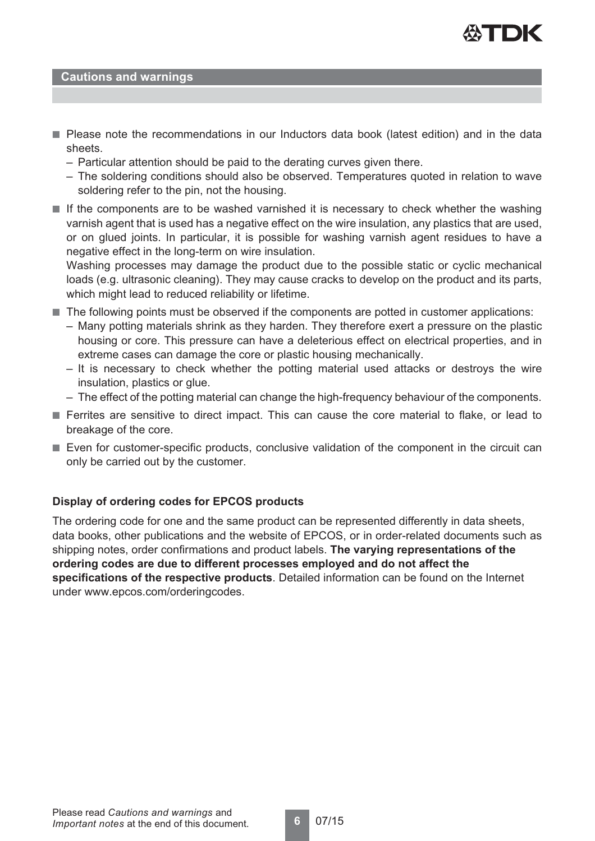

#### **Cautions and warnings**

- Please note the recommendations in our Inductors data book (latest edition) and in the data sheets.
	- Particular attention should be paid to the derating curves given there.
	- The soldering conditions should also be observed. Temperatures quoted in relation to wave soldering refer to the pin, not the housing.
- If the components are to be washed varnished it is necessary to check whether the washing varnish agent that is used has a negative effect on the wire insulation, any plastics that are used, or on glued joints. In particular, it is possible for washing varnish agent residues to have a negative effect in the long-term on wire insulation.

Washing processes may damage the product due to the possible static or cyclic mechanical loads (e.g. ultrasonic cleaning). They may cause cracks to develop on the product and its parts, which might lead to reduced reliability or lifetime.

- The following points must be observed if the components are potted in customer applications:
	- Many potting materials shrink as they harden. They therefore exert a pressure on the plastic housing or core. This pressure can have a deleterious effect on electrical properties, and in extreme cases can damage the core or plastic housing mechanically.
	- It is necessary to check whether the potting material used attacks or destroys the wire insulation, plastics or glue.
	- The effect of the potting material can change the high-frequency behaviour of the components.
- Ferrites are sensitive to direct impact. This can cause the core material to flake, or lead to breakage of the core.
- Even for customer-specific products, conclusive validation of the component in the circuit can only be carried out by the customer.

## **Display of ordering codes for EPCOS products**

The ordering code for one and the same product can be represented differently in data sheets, data books, other publications and the website of EPCOS, or in order-related documents such as shipping notes, order confirmations and product labels. **The varying representations of the ordering codes are due to different processes employed and do not affect the specifications of the respective products**. Detailed information can be found on the Internet under www.epcos.com/orderingcodes.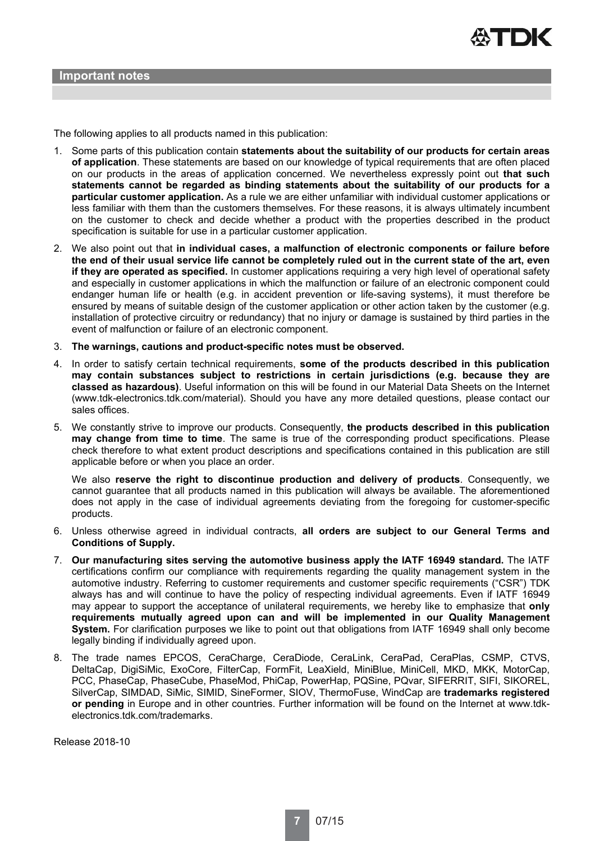

The following applies to all products named in this publication:

- 1. Some parts of this publication contain **statements about the suitability of our products for certain areas of application**. These statements are based on our knowledge of typical requirements that are often placed on our products in the areas of application concerned. We nevertheless expressly point out **that such statements cannot be regarded as binding statements about the suitability of our products for a particular customer application.** As a rule we are either unfamiliar with individual customer applications or less familiar with them than the customers themselves. For these reasons, it is always ultimately incumbent on the customer to check and decide whether a product with the properties described in the product specification is suitable for use in a particular customer application.
- 2. We also point out that **in individual cases, a malfunction of electronic components or failure before the end of their usual service life cannot be completely ruled out in the current state of the art, even if they are operated as specified.** In customer applications requiring a very high level of operational safety and especially in customer applications in which the malfunction or failure of an electronic component could endanger human life or health (e.g. in accident prevention or life-saving systems), it must therefore be ensured by means of suitable design of the customer application or other action taken by the customer (e.g. installation of protective circuitry or redundancy) that no injury or damage is sustained by third parties in the event of malfunction or failure of an electronic component.
- 3. **The warnings, cautions and product-specific notes must be observed.**
- 4. In order to satisfy certain technical requirements, **some of the products described in this publication may contain substances subject to restrictions in certain jurisdictions (e.g. because they are classed as hazardous)**. Useful information on this will be found in our Material Data Sheets on the Internet (www.tdk-electronics.tdk.com/material). Should you have any more detailed questions, please contact our sales offices.
- 5. We constantly strive to improve our products. Consequently, **the products described in this publication may change from time to time**. The same is true of the corresponding product specifications. Please check therefore to what extent product descriptions and specifications contained in this publication are still applicable before or when you place an order.

We also **reserve the right to discontinue production and delivery of products**. Consequently, we cannot guarantee that all products named in this publication will always be available. The aforementioned does not apply in the case of individual agreements deviating from the foregoing for customer-specific products.

- 6. Unless otherwise agreed in individual contracts, **all orders are subject to our General Terms and Conditions of Supply.**
- 7. **Our manufacturing sites serving the automotive business apply the IATF 16949 standard.** The IATF certifications confirm our compliance with requirements regarding the quality management system in the automotive industry. Referring to customer requirements and customer specific requirements ("CSR") TDK always has and will continue to have the policy of respecting individual agreements. Even if IATF 16949 may appear to support the acceptance of unilateral requirements, we hereby like to emphasize that **only requirements mutually agreed upon can and will be implemented in our Quality Management System.** For clarification purposes we like to point out that obligations from IATF 16949 shall only become legally binding if individually agreed upon.
- 8. The trade names EPCOS, CeraCharge, CeraDiode, CeraLink, CeraPad, CeraPlas, CSMP, CTVS, DeltaCap, DigiSiMic, ExoCore, FilterCap, FormFit, LeaXield, MiniBlue, MiniCell, MKD, MKK, MotorCap, PCC, PhaseCap, PhaseCube, PhaseMod, PhiCap, PowerHap, PQSine, PQvar, SIFERRIT, SIFI, SIKOREL, SilverCap, SIMDAD, SiMic, SIMID, SineFormer, SIOV, ThermoFuse, WindCap are **trademarks registered or pending** in Europe and in other countries. Further information will be found on the Internet at www.tdkelectronics.tdk.com/trademarks.

Release 2018-10